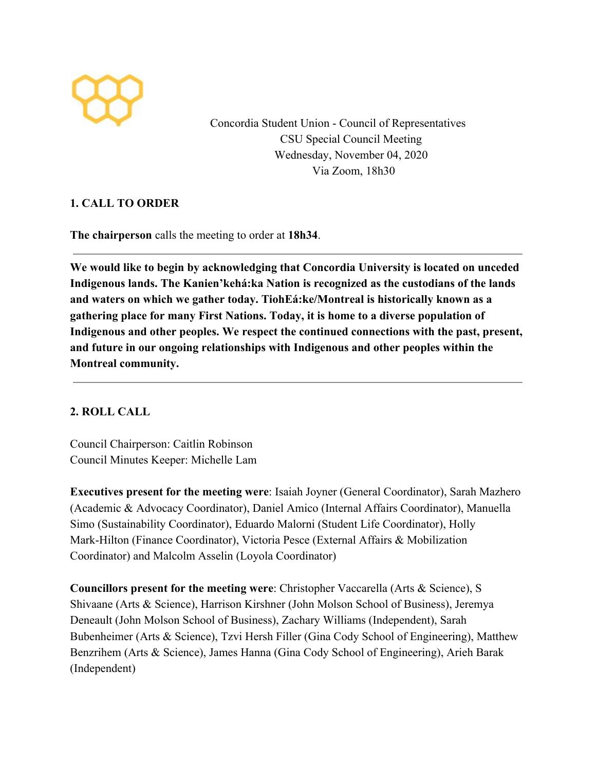

Concordia Student Union - Council of Representatives CSU Special Council Meeting Wednesday, November 04, 2020 Via Zoom, 18h30

## **1. CALL TO ORDER**

**The chairperson** calls the meeting to order at **18h34**.

**We would like to begin by acknowledging that Concordia University is located on unceded Indigenous lands. The Kanien'kehá:ka Nation is recognized as the custodians of the lands and waters on which we gather today. TiohEá:ke/Montreal is historically known as a gathering place for many First Nations. Today, it is home to a diverse population of Indigenous and other peoples. We respect the continued connections with the past, present, and future in our ongoing relationships with Indigenous and other peoples within the Montreal community.**

## **2. ROLL CALL**

Council Chairperson: Caitlin Robinson Council Minutes Keeper: Michelle Lam

**Executives present for the meeting were**: Isaiah Joyner (General Coordinator), Sarah Mazhero (Academic & Advocacy Coordinator), Daniel Amico (Internal Affairs Coordinator), Manuella Simo (Sustainability Coordinator), Eduardo Malorni (Student Life Coordinator), Holly Mark-Hilton (Finance Coordinator), Victoria Pesce (External Affairs & Mobilization Coordinator) and Malcolm Asselin (Loyola Coordinator)

**Councillors present for the meeting were**: Christopher Vaccarella (Arts & Science), S Shivaane (Arts & Science), Harrison Kirshner (John Molson School of Business), Jeremya Deneault (John Molson School of Business), Zachary Williams (Independent), Sarah Bubenheimer (Arts & Science), Tzvi Hersh Filler (Gina Cody School of Engineering), Matthew Benzrihem (Arts & Science), James Hanna (Gina Cody School of Engineering), Arieh Barak (Independent)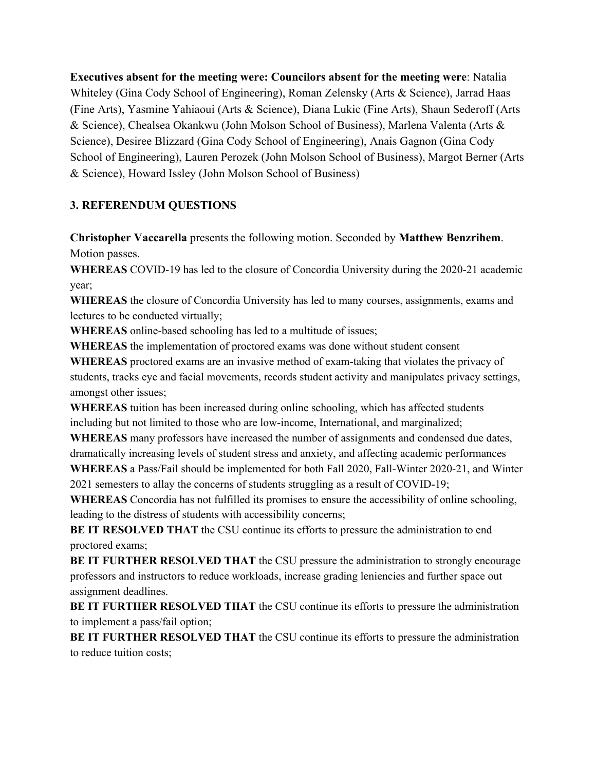**Executives absent for the meeting were: Councilors absent for the meeting were**: Natalia Whiteley (Gina Cody School of Engineering), Roman Zelensky (Arts & Science), Jarrad Haas (Fine Arts), Yasmine Yahiaoui (Arts & Science), Diana Lukic (Fine Arts), Shaun Sederoff (Arts & Science), Chealsea Okankwu (John Molson School of Business), Marlena Valenta (Arts & Science), Desiree Blizzard (Gina Cody School of Engineering), Anais Gagnon (Gina Cody School of Engineering), Lauren Perozek (John Molson School of Business), Margot Berner (Arts & Science), Howard Issley (John Molson School of Business)

## **3. REFERENDUM QUESTIONS**

**Christopher Vaccarella** presents the following motion. Seconded by **Matthew Benzrihem**. Motion passes.

**WHEREAS** COVID-19 has led to the closure of Concordia University during the 2020-21 academic year;

**WHEREAS** the closure of Concordia University has led to many courses, assignments, exams and lectures to be conducted virtually;

**WHEREAS** online-based schooling has led to a multitude of issues;

**WHEREAS** the implementation of proctored exams was done without student consent

**WHEREAS** proctored exams are an invasive method of exam-taking that violates the privacy of students, tracks eye and facial movements, records student activity and manipulates privacy settings, amongst other issues;

**WHEREAS** tuition has been increased during online schooling, which has affected students including but not limited to those who are low-income, International, and marginalized;

**WHEREAS** many professors have increased the number of assignments and condensed due dates, dramatically increasing levels of student stress and anxiety, and affecting academic performances

**WHEREAS** a Pass/Fail should be implemented for both Fall 2020, Fall-Winter 2020-21, and Winter 2021 semesters to allay the concerns of students struggling as a result of COVID-19;

**WHEREAS** Concordia has not fulfilled its promises to ensure the accessibility of online schooling, leading to the distress of students with accessibility concerns;

**BE IT RESOLVED THAT** the CSU continue its efforts to pressure the administration to end proctored exams;

**BE IT FURTHER RESOLVED THAT** the CSU pressure the administration to strongly encourage professors and instructors to reduce workloads, increase grading leniencies and further space out assignment deadlines.

**BE IT FURTHER RESOLVED THAT** the CSU continue its efforts to pressure the administration to implement a pass/fail option;

**BE IT FURTHER RESOLVED THAT** the CSU continue its efforts to pressure the administration to reduce tuition costs;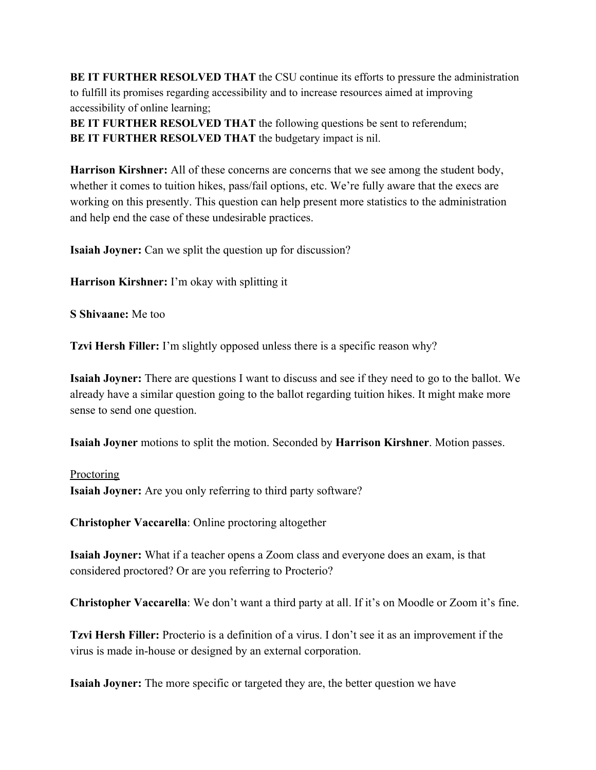**BE IT FURTHER RESOLVED THAT** the CSU continue its efforts to pressure the administration to fulfill its promises regarding accessibility and to increase resources aimed at improving accessibility of online learning;

**BE IT FURTHER RESOLVED THAT** the following questions be sent to referendum; **BE IT FURTHER RESOLVED THAT** the budgetary impact is nil.

**Harrison Kirshner:** All of these concerns are concerns that we see among the student body, whether it comes to tuition hikes, pass/fail options, etc. We're fully aware that the execs are working on this presently. This question can help present more statistics to the administration and help end the case of these undesirable practices.

**Isaiah Joyner:** Can we split the question up for discussion?

**Harrison Kirshner:** I'm okay with splitting it

**S Shivaane:** Me too

**Tzvi Hersh Filler:** I'm slightly opposed unless there is a specific reason why?

**Isaiah Joyner:** There are questions I want to discuss and see if they need to go to the ballot. We already have a similar question going to the ballot regarding tuition hikes. It might make more sense to send one question.

**Isaiah Joyner** motions to split the motion. Seconded by **Harrison Kirshner**. Motion passes.

# **Proctoring Isaiah Joyner:** Are you only referring to third party software?

**Christopher Vaccarella**: Online proctoring altogether

**Isaiah Joyner:** What if a teacher opens a Zoom class and everyone does an exam, is that considered proctored? Or are you referring to Procterio?

**Christopher Vaccarella**: We don't want a third party at all. If it's on Moodle or Zoom it's fine.

**Tzvi Hersh Filler:** Procterio is a definition of a virus. I don't see it as an improvement if the virus is made in-house or designed by an external corporation.

**Isaiah Joyner:** The more specific or targeted they are, the better question we have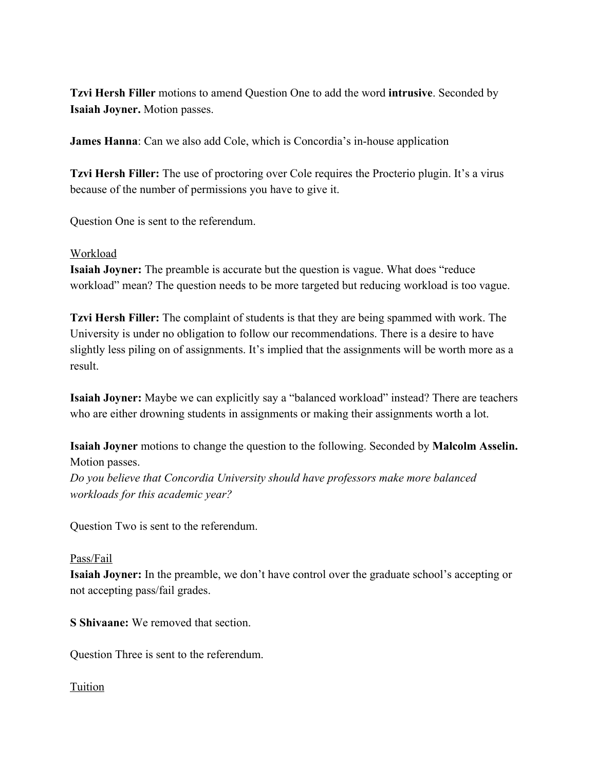**Tzvi Hersh Filler** motions to amend Question One to add the word **intrusive**. Seconded by **Isaiah Joyner.** Motion passes.

**James Hanna**: Can we also add Cole, which is Concordia's in-house application

**Tzvi Hersh Filler:** The use of proctoring over Cole requires the Procterio plugin. It's a virus because of the number of permissions you have to give it.

Question One is sent to the referendum.

#### Workload

**Isaiah Joyner:** The preamble is accurate but the question is vague. What does "reduce workload" mean? The question needs to be more targeted but reducing workload is too vague.

**Tzvi Hersh Filler:** The complaint of students is that they are being spammed with work. The University is under no obligation to follow our recommendations. There is a desire to have slightly less piling on of assignments. It's implied that the assignments will be worth more as a result.

**Isaiah Joyner:** Maybe we can explicitly say a "balanced workload" instead? There are teachers who are either drowning students in assignments or making their assignments worth a lot.

**Isaiah Joyner** motions to change the question to the following. Seconded by **Malcolm Asselin.** Motion passes. *Do you believe that Concordia University should have professors make more balanced workloads for this academic year?*

Question Two is sent to the referendum.

#### Pass/Fail

**Isaiah Joyner:** In the preamble, we don't have control over the graduate school's accepting or not accepting pass/fail grades.

**S Shivaane:** We removed that section.

Question Three is sent to the referendum.

## Tuition